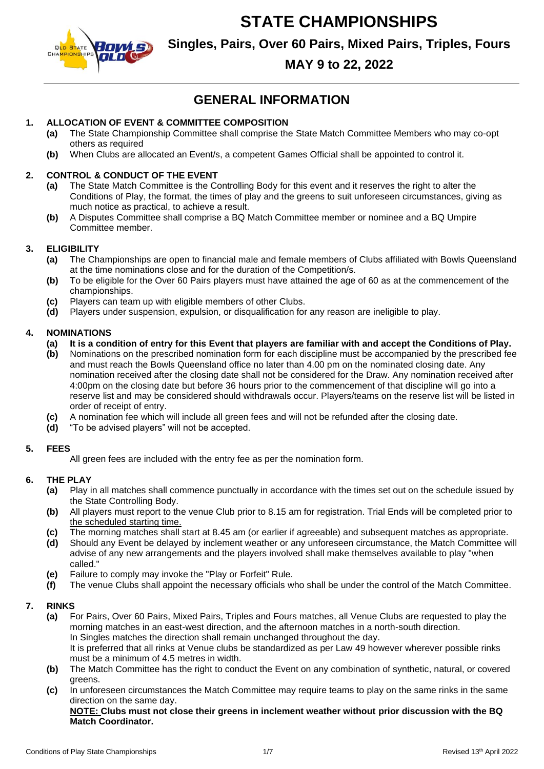

**Singles, Pairs, Over 60 Pairs, Mixed Pairs, Triples, Fours**

## **MAY 9 to 22, 2022**

## **GENERAL INFORMATION**

### **1. ALLOCATION OF EVENT & COMMITTEE COMPOSITION**

- **(a)** The State Championship Committee shall comprise the State Match Committee Members who may co-opt others as required
- **(b)** When Clubs are allocated an Event/s, a competent Games Official shall be appointed to control it.

#### **2. CONTROL & CONDUCT OF THE EVENT**

- **(a)** The State Match Committee is the Controlling Body for this event and it reserves the right to alter the Conditions of Play, the format, the times of play and the greens to suit unforeseen circumstances, giving as much notice as practical, to achieve a result.
- **(b)** A Disputes Committee shall comprise a BQ Match Committee member or nominee and a BQ Umpire Committee member.

#### **3. ELIGIBILITY**

- **(a)** The Championships are open to financial male and female members of Clubs affiliated with Bowls Queensland at the time nominations close and for the duration of the Competition/s.
- **(b)** To be eligible for the Over 60 Pairs players must have attained the age of 60 as at the commencement of the championships.
- **(c)** Players can team up with eligible members of other Clubs.
- **(d)** Players under suspension, expulsion, or disqualification for any reason are ineligible to play.

#### **4. NOMINATIONS**

- **(a) It is a condition of entry for this Event that players are familiar with and accept the Conditions of Play.**
- **(b)** Nominations on the prescribed nomination form for each discipline must be accompanied by the prescribed fee and must reach the Bowls Queensland office no later than 4.00 pm on the nominated closing date. Any nomination received after the closing date shall not be considered for the Draw. Any nomination received after 4:00pm on the closing date but before 36 hours prior to the commencement of that discipline will go into a reserve list and may be considered should withdrawals occur. Players/teams on the reserve list will be listed in order of receipt of entry.
- **(c)** A nomination fee which will include all green fees and will not be refunded after the closing date.
- **(d)** "To be advised players" will not be accepted.

#### **5. FEES**

All green fees are included with the entry fee as per the nomination form.

#### **6. THE PLAY**

- **(a)** Play in all matches shall commence punctually in accordance with the times set out on the schedule issued by the State Controlling Body.
- **(b)** All players must report to the venue Club prior to 8.15 am for registration. Trial Ends will be completed prior to the scheduled starting time.
- **(c)** The morning matches shall start at 8.45 am (or earlier if agreeable) and subsequent matches as appropriate.
- **(d)** Should any Event be delayed by inclement weather or any unforeseen circumstance, the Match Committee will advise of any new arrangements and the players involved shall make themselves available to play "when called."
- **(e)** Failure to comply may invoke the "Play or Forfeit" Rule.
- **(f)** The venue Clubs shall appoint the necessary officials who shall be under the control of the Match Committee.

#### **7. RINKS**

- **(a)** For Pairs, Over 60 Pairs, Mixed Pairs, Triples and Fours matches, all Venue Clubs are requested to play the morning matches in an east-west direction, and the afternoon matches in a north-south direction. In Singles matches the direction shall remain unchanged throughout the day. It is preferred that all rinks at Venue clubs be standardized as per Law 49 however wherever possible rinks must be a minimum of 4.5 metres in width.
- **(b)** The Match Committee has the right to conduct the Event on any combination of synthetic, natural, or covered greens.
- **(c)** In unforeseen circumstances the Match Committee may require teams to play on the same rinks in the same direction on the same day.

**NOTE: Clubs must not close their greens in inclement weather without prior discussion with the BQ Match Coordinator.**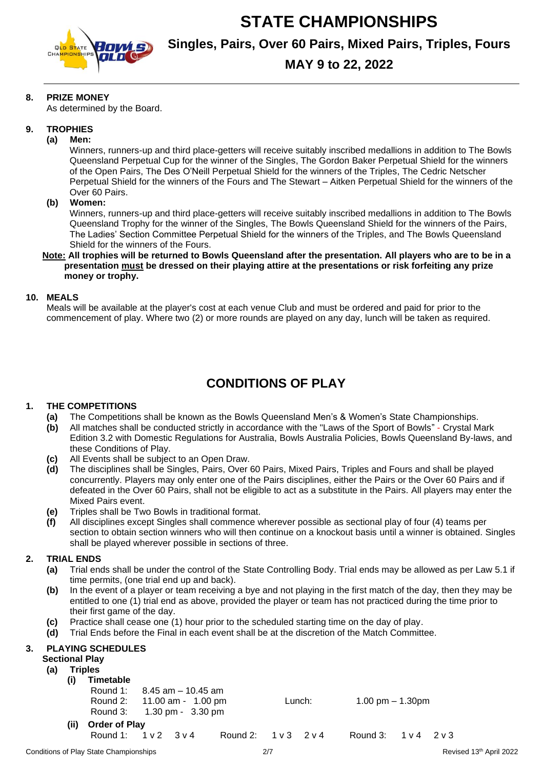

**Singles, Pairs, Over 60 Pairs, Mixed Pairs, Triples, Fours**

## **MAY 9 to 22, 2022**

#### **8. PRIZE MONEY**

As determined by the Board.

#### **9. TROPHIES**

#### **(a) Men:**

Winners, runners-up and third place-getters will receive suitably inscribed medallions in addition to The Bowls Queensland Perpetual Cup for the winner of the Singles, The Gordon Baker Perpetual Shield for the winners of the Open Pairs, The Des O'Neill Perpetual Shield for the winners of the Triples, The Cedric Netscher Perpetual Shield for the winners of the Fours and The Stewart – Aitken Perpetual Shield for the winners of the Over 60 Pairs.

#### **(b) Women:**

Winners, runners-up and third place-getters will receive suitably inscribed medallions in addition to The Bowls Queensland Trophy for the winner of the Singles, The Bowls Queensland Shield for the winners of the Pairs, The Ladies' Section Committee Perpetual Shield for the winners of the Triples, and The Bowls Queensland Shield for the winners of the Fours.

#### **Note: All trophies will be returned to Bowls Queensland after the presentation. All players who are to be in a presentation must be dressed on their playing attire at the presentations or risk forfeiting any prize money or trophy.**

#### **10. MEALS**

Meals will be available at the player's cost at each venue Club and must be ordered and paid for prior to the commencement of play. Where two (2) or more rounds are played on any day, lunch will be taken as required.

## **CONDITIONS OF PLAY**

#### **1. THE COMPETITIONS**

- **(a)** The Competitions shall be known as the Bowls Queensland Men's & Women's State Championships.
- **(b)** All matches shall be conducted strictly in accordance with the "Laws of the Sport of Bowls" Crystal Mark Edition 3.2 with Domestic Regulations for Australia, Bowls Australia Policies, Bowls Queensland By-laws, and these Conditions of Play.
- **(c)** All Events shall be subject to an Open Draw.
- **(d)** The disciplines shall be Singles, Pairs, Over 60 Pairs, Mixed Pairs, Triples and Fours and shall be played concurrently. Players may only enter one of the Pairs disciplines, either the Pairs or the Over 60 Pairs and if defeated in the Over 60 Pairs, shall not be eligible to act as a substitute in the Pairs. All players may enter the Mixed Pairs event.
- **(e)** Triples shall be Two Bowls in traditional format.
- **(f)** All disciplines except Singles shall commence wherever possible as sectional play of four (4) teams per section to obtain section winners who will then continue on a knockout basis until a winner is obtained. Singles shall be played wherever possible in sections of three.

#### **2. TRIAL ENDS**

- **(a)** Trial ends shall be under the control of the State Controlling Body. Trial ends may be allowed as per Law 5.1 if time permits, (one trial end up and back).
- **(b)** In the event of a player or team receiving a bye and not playing in the first match of the day, then they may be entitled to one (1) trial end as above, provided the player or team has not practiced during the time prior to their first game of the day.
- **(c)** Practice shall cease one (1) hour prior to the scheduled starting time on the day of play.
- **(d)** Trial Ends before the Final in each event shall be at the discretion of the Match Committee.

#### **3. PLAYING SCHEDULES**

#### **Sectional Play**

#### **(a) Triples**

- **(i) Timetable**
	- Round 1: 8.45 am 10.45 am
	- Round 2: 11.00 am 1.00 pm Lunch: 1.00 pm 1.30pm
		- Round 3: 1.30 pm 3.30 pm
- **(ii) Order of Play** Round 1: 1 v 2 3 v 4 Round 2: 1 v 3 2 v 4 Round 3: 1 v 4 2 v 3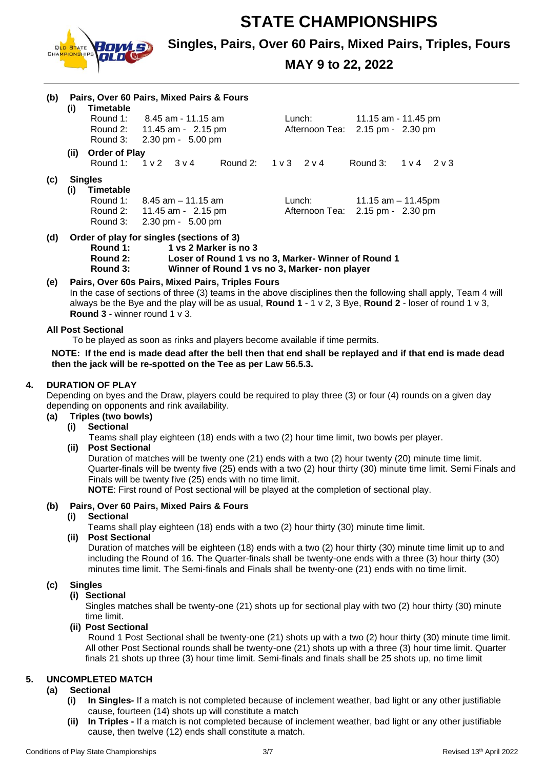

### **Singles, Pairs, Over 60 Pairs, Mixed Pairs, Triples, Fours**

## **MAY 9 to 22, 2022**

| (b) | (i)  | Timetable<br>Round 3:                                      | Pairs, Over 60 Pairs, Mixed Pairs & Fours<br>Round 1: $8.45$ am - 11.15 am<br>Round 2: 11.45 am - 2.15 pm<br>$2.30 \text{ pm} - 5.00 \text{ pm}$ |                                | Lunch: |        | 11.15 am - 11.45 pm<br>Afternoon Tea: 2.15 pm - 2.30 pm |                                |
|-----|------|------------------------------------------------------------|--------------------------------------------------------------------------------------------------------------------------------------------------|--------------------------------|--------|--------|---------------------------------------------------------|--------------------------------|
|     | (ii) | <b>Order of Play</b><br>Round 1:                           | $1 \vee 2$ $3 \vee 4$                                                                                                                            | Round 2: $1 \vee 3$ 2 $\vee 4$ |        |        |                                                         | Round 3: $1 \vee 4$ 2 $\vee 3$ |
| (c) | (i)  | <b>Singles</b><br><b>Timetable</b><br>Round 1:<br>Round 3: | 8.45 am – 11.15 am<br>Round 2: 11.45 am - 2.15 pm<br>$2.30 \text{ pm} - 5.00 \text{ pm}$                                                         |                                |        | Lunch: | Afternoon Tea: 2.15 pm - 2.30 pm                        | 11.15 am $-$ 11.45pm           |
| (d) |      | Order of play for singles (sections of 3)                  |                                                                                                                                                  |                                |        |        |                                                         |                                |

- **Round 1: 1 vs 2 Marker is no 3**
	- **Round 2: Loser of Round 1 vs no 3, Marker- Winner of Round 1 Round 3: Winner of Round 1 vs no 3, Marker- non player**

#### **(e) Pairs, Over 60s Pairs, Mixed Pairs, Triples Fours**

In the case of sections of three (3) teams in the above disciplines then the following shall apply, Team 4 will always be the Bye and the play will be as usual, **Round 1** - 1 v 2, 3 Bye, **Round 2** - loser of round 1 v 3, **Round 3** - winner round 1 v 3.

#### **All Post Sectional**

To be played as soon as rinks and players become available if time permits.

**NOTE: If the end is made dead after the bell then that end shall be replayed and if that end is made dead then the jack will be re-spotted on the Tee as per Law 56.5.3.**

#### **4. DURATION OF PLAY**

Depending on byes and the Draw, players could be required to play three (3) or four (4) rounds on a given day depending on opponents and rink availability.

- **(a) Triples (two bowls)**
	- **(i) Sectional**

Teams shall play eighteen (18) ends with a two (2) hour time limit, two bowls per player.

**(ii) Post Sectional** 

Duration of matches will be twenty one (21) ends with a two (2) hour twenty (20) minute time limit. Quarter-finals will be twenty five (25) ends with a two (2) hour thirty (30) minute time limit. Semi Finals and Finals will be twenty five (25) ends with no time limit.

**NOTE**: First round of Post sectional will be played at the completion of sectional play.

#### **(b) Pairs, Over 60 Pairs, Mixed Pairs & Fours**

**(i) Sectional**

Teams shall play eighteen (18) ends with a two (2) hour thirty (30) minute time limit.

**(ii) Post Sectional** 

Duration of matches will be eighteen (18) ends with a two (2) hour thirty (30) minute time limit up to and including the Round of 16. The Quarter-finals shall be twenty-one ends with a three (3) hour thirty (30) minutes time limit. The Semi-finals and Finals shall be twenty-one (21) ends with no time limit.

#### **(c) Singles**

### **(i) Sectional**

Singles matches shall be twenty-one (21) shots up for sectional play with two (2) hour thirty (30) minute time limit.

#### **(ii) Post Sectional**

Round 1 Post Sectional shall be twenty-one (21) shots up with a two (2) hour thirty (30) minute time limit. All other Post Sectional rounds shall be twenty-one (21) shots up with a three (3) hour time limit. Quarter finals 21 shots up three (3) hour time limit. Semi-finals and finals shall be 25 shots up, no time limit

#### **5. UNCOMPLETED MATCH**

#### **(a) Sectional**

- **(i) In Singles-** If a match is not completed because of inclement weather, bad light or any other justifiable cause, fourteen (14) shots up will constitute a match
- **(ii) In Triples -** If a match is not completed because of inclement weather, bad light or any other justifiable cause, then twelve (12) ends shall constitute a match.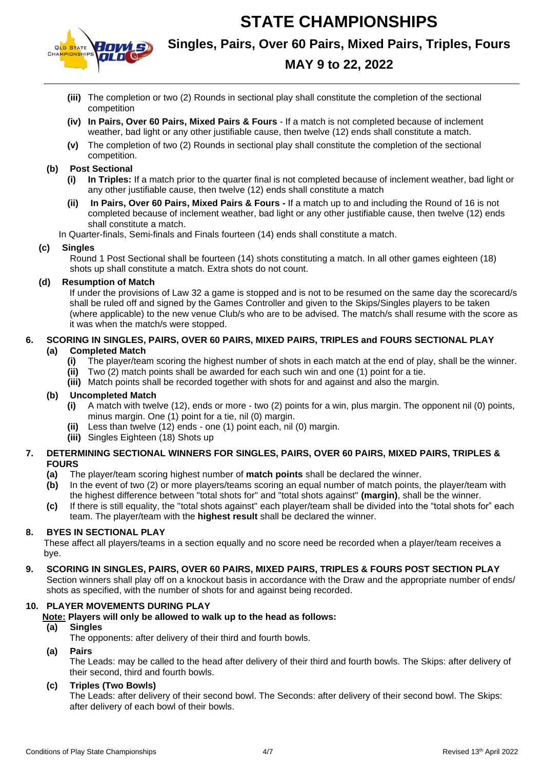

## **Singles, Pairs, Over 60 Pairs, Mixed Pairs, Triples, Fours**

## **MAY 9 to 22, 2022**

- **(iii)** The completion or two (2) Rounds in sectional play shall constitute the completion of the sectional competition
- **(iv) In Pairs, Over 60 Pairs, Mixed Pairs & Fours**  If a match is not completed because of inclement weather, bad light or any other justifiable cause, then twelve (12) ends shall constitute a match.
- **(v)** The completion of two (2) Rounds in sectional play shall constitute the completion of the sectional competition.

#### **(b) Post Sectional**

- **(i) In Triples:** If a match prior to the quarter final is not completed because of inclement weather, bad light or any other justifiable cause, then twelve (12) ends shall constitute a match
- **(ii) In Pairs, Over 60 Pairs, Mixed Pairs & Fours -** If a match up to and including the Round of 16 is not completed because of inclement weather, bad light or any other justifiable cause, then twelve (12) ends shall constitute a match.

In Quarter-finals, Semi-finals and Finals fourteen (14) ends shall constitute a match.

#### **(c) Singles**

Round 1 Post Sectional shall be fourteen (14) shots constituting a match. In all other games eighteen (18) shots up shall constitute a match. Extra shots do not count.

#### **(d) Resumption of Match**

If under the provisions of Law 32 a game is stopped and is not to be resumed on the same day the scorecard/s shall be ruled off and signed by the Games Controller and given to the Skips/Singles players to be taken (where applicable) to the new venue Club/s who are to be advised. The match/s shall resume with the score as it was when the match/s were stopped.

#### **6. SCORING IN SINGLES, PAIRS, OVER 60 PAIRS, MIXED PAIRS, TRIPLES and FOURS SECTIONAL PLAY (a) Completed Match**

- **(i)** The player/team scoring the highest number of shots in each match at the end of play, shall be the winner.
- **(ii)** Two (2) match points shall be awarded for each such win and one (1) point for a tie.
- **(iii)** Match points shall be recorded together with shots for and against and also the margin.

#### **(b) Uncompleted Match**

- **(i)** A match with twelve (12), ends or more two (2) points for a win, plus margin. The opponent nil (0) points, minus margin. One (1) point for a tie, nil (0) margin.
- **(ii)** Less than twelve (12) ends one (1) point each, nil (0) margin.
- **(iii)** Singles Eighteen (18) Shots up

#### **7. DETERMINING SECTIONAL WINNERS FOR SINGLES, PAIRS, OVER 60 PAIRS, MIXED PAIRS, TRIPLES & FOURS**

- **(a)** The player/team scoring highest number of **match points** shall be declared the winner.
- **(b)** In the event of two (2) or more players/teams scoring an equal number of match points, the player/team with the highest difference between "total shots for" and "total shots against" **(margin)**, shall be the winner.
- **(c)** If there is still equality, the "total shots against" each player/team shall be divided into the "total shots for" each team. The player/team with the **highest result** shall be declared the winner.

#### **8. BYES IN SECTIONAL PLAY**

These affect all players/teams in a section equally and no score need be recorded when a player/team receives a bye.

#### **9. SCORING IN SINGLES, PAIRS, OVER 60 PAIRS, MIXED PAIRS, TRIPLES & FOURS POST SECTION PLAY**

Section winners shall play off on a knockout basis in accordance with the Draw and the appropriate number of ends/ shots as specified, with the number of shots for and against being recorded.

#### **10. PLAYER MOVEMENTS DURING PLAY**

**Note: Players will only be allowed to walk up to the head as follows:**

#### **(a) Singles**

The opponents: after delivery of their third and fourth bowls.

**(a) Pairs**

The Leads: may be called to the head after delivery of their third and fourth bowls. The Skips: after delivery of their second, third and fourth bowls.

#### **(c) Triples (Two Bowls)**

The Leads: after delivery of their second bowl. The Seconds: after delivery of their second bowl. The Skips: after delivery of each bowl of their bowls.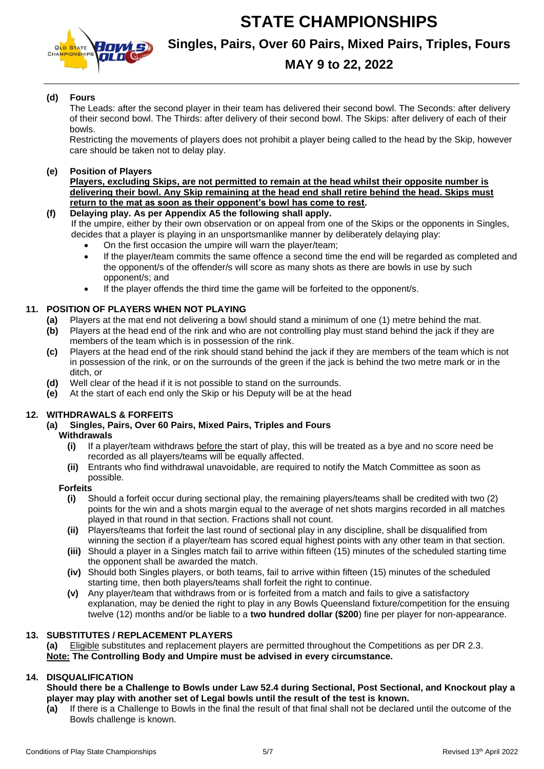



## **Singles, Pairs, Over 60 Pairs, Mixed Pairs, Triples, Fours**

## **MAY 9 to 22, 2022**

#### **(d) Fours**

The Leads: after the second player in their team has delivered their second bowl. The Seconds: after delivery of their second bowl. The Thirds: after delivery of their second bowl. The Skips: after delivery of each of their bowls.

Restricting the movements of players does not prohibit a player being called to the head by the Skip, however care should be taken not to delay play.

#### **(e) Position of Players**

**Players, excluding Skips, are not permitted to remain at the head whilst their opposite number is delivering their bowl. Any Skip remaining at the head end shall retire behind the head. Skips must return to the mat as soon as their opponent's bowl has come to rest***.*

**(f) Delaying play. As per Appendix A5 the following shall apply.**

If the umpire, either by their own observation or on appeal from one of the Skips or the opponents in Singles, decides that a player is playing in an unsportsmanlike manner by deliberately delaying play:

- On the first occasion the umpire will warn the player/team;
- If the player/team commits the same offence a second time the end will be regarded as completed and the opponent/s of the offender/s will score as many shots as there are bowls in use by such opponent/s; and
- If the player offends the third time the game will be forfeited to the opponent/s.

#### **11. POSITION OF PLAYERS WHEN NOT PLAYING**

- **(a)** Players at the mat end not delivering a bowl should stand a minimum of one (1) metre behind the mat.
- **(b)** Players at the head end of the rink and who are not controlling play must stand behind the jack if they are members of the team which is in possession of the rink.
- **(c)** Players at the head end of the rink should stand behind the jack if they are members of the team which is not in possession of the rink, or on the surrounds of the green if the jack is behind the two metre mark or in the ditch, or
- **(d)** Well clear of the head if it is not possible to stand on the surrounds.
- **(e)** At the start of each end only the Skip or his Deputy will be at the head

#### **12. WITHDRAWALS & FORFEITS**

#### **(a) Singles, Pairs, Over 60 Pairs, Mixed Pairs, Triples and Fours Withdrawals**

- **(i)** If a player/team withdraws before the start of play, this will be treated as a bye and no score need be recorded as all players/teams will be equally affected.
- **(ii)** Entrants who find withdrawal unavoidable, are required to notify the Match Committee as soon as possible.

#### **Forfeits**

- **(i)** Should a forfeit occur during sectional play, the remaining players/teams shall be credited with two (2) points for the win and a shots margin equal to the average of net shots margins recorded in all matches played in that round in that section. Fractions shall not count.
- **(ii)** Players/teams that forfeit the last round of sectional play in any discipline, shall be disqualified from winning the section if a player/team has scored equal highest points with any other team in that section.
- **(iii)** Should a player in a Singles match fail to arrive within fifteen (15) minutes of the scheduled starting time the opponent shall be awarded the match.
- **(iv)** Should both Singles players, or both teams, fail to arrive within fifteen (15) minutes of the scheduled starting time, then both players/teams shall forfeit the right to continue.
- **(v)** Any player/team that withdraws from or is forfeited from a match and fails to give a satisfactory explanation, may be denied the right to play in any Bowls Queensland fixture/competition for the ensuing twelve (12) months and/or be liable to a **two hundred dollar (\$200**) fine per player for non-appearance.

#### **13. SUBSTITUTES / REPLACEMENT PLAYERS**

**(a)** Eligible substitutes and replacement players are permitted throughout the Competitions as per DR 2.3. **Note: The Controlling Body and Umpire must be advised in every circumstance.** 

#### **14. DISQUALIFICATION**

#### **Should there be a Challenge to Bowls under Law 52.4 during Sectional, Post Sectional, and Knockout play a player may play with another set of Legal bowls until the result of the test is known.**

**(a)** If there is a Challenge to Bowls in the final the result of that final shall not be declared until the outcome of the Bowls challenge is known.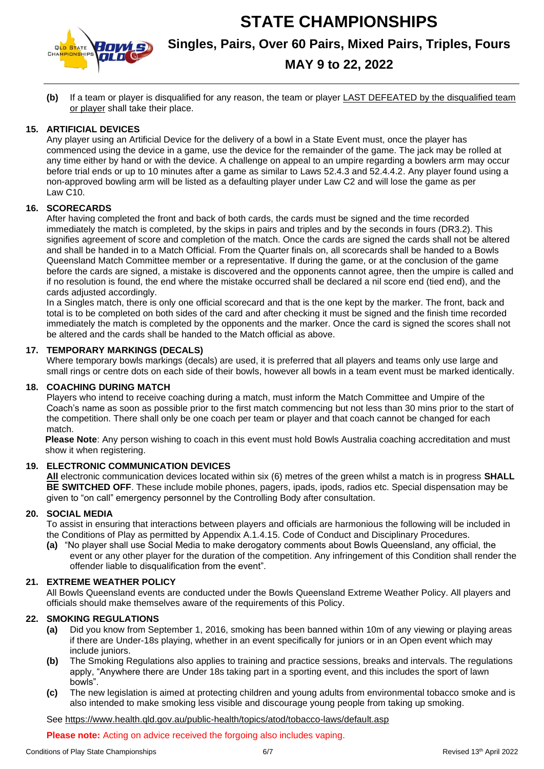

# **Singles, Pairs, Over 60 Pairs, Mixed Pairs, Triples, Fours**

## **MAY 9 to 22, 2022**

**(b)** If a team or player is disqualified for any reason, the team or player LAST DEFEATED by the disqualified team or player shall take their place.

#### **15. ARTIFICIAL DEVICES**

Any player using an Artificial Device for the delivery of a bowl in a State Event must, once the player has commenced using the device in a game, use the device for the remainder of the game. The jack may be rolled at any time either by hand or with the device. A challenge on appeal to an umpire regarding a bowlers arm may occur before trial ends or up to 10 minutes after a game as similar to Laws 52.4.3 and 52.4.4.2. Any player found using a non-approved bowling arm will be listed as a defaulting player under Law C2 and will lose the game as per Law C10.

#### **16. SCORECARDS**

After having completed the front and back of both cards, the cards must be signed and the time recorded immediately the match is completed, by the skips in pairs and triples and by the seconds in fours (DR3.2). This signifies agreement of score and completion of the match. Once the cards are signed the cards shall not be altered and shall be handed in to a Match Official. From the Quarter finals on, all scorecards shall be handed to a Bowls Queensland Match Committee member or a representative. If during the game, or at the conclusion of the game before the cards are signed, a mistake is discovered and the opponents cannot agree, then the umpire is called and if no resolution is found, the end where the mistake occurred shall be declared a nil score end (tied end), and the cards adjusted accordingly.

In a Singles match, there is only one official scorecard and that is the one kept by the marker. The front, back and total is to be completed on both sides of the card and after checking it must be signed and the finish time recorded immediately the match is completed by the opponents and the marker. Once the card is signed the scores shall not be altered and the cards shall be handed to the Match official as above.

#### **17. TEMPORARY MARKINGS (DECALS)**

Where temporary bowls markings (decals) are used, it is preferred that all players and teams only use large and small rings or centre dots on each side of their bowls, however all bowls in a team event must be marked identically.

#### **18. COACHING DURING MATCH**

Players who intend to receive coaching during a match, must inform the Match Committee and Umpire of the Coach's name as soon as possible prior to the first match commencing but not less than 30 mins prior to the start of the competition. There shall only be one coach per team or player and that coach cannot be changed for each match.

**Please Note**: Any person wishing to coach in this event must hold Bowls Australia coaching accreditation and must show it when registering.

#### **19. ELECTRONIC COMMUNICATION DEVICES**

**All** electronic communication devices located within six (6) metres of the green whilst a match is in progress **SHALL BE SWITCHED OFF**. These include mobile phones, pagers, ipads, ipods, radios etc. Special dispensation may be given to "on call" emergency personnel by the Controlling Body after consultation.

#### **20. SOCIAL MEDIA**

To assist in ensuring that interactions between players and officials are harmonious the following will be included in the Conditions of Play as permitted by Appendix A.1.4.15. Code of Conduct and Disciplinary Procedures.

**(a)** "No player shall use Social Media to make derogatory comments about Bowls Queensland, any official, the event or any other player for the duration of the competition. Any infringement of this Condition shall render the offender liable to disqualification from the event".

#### **21. EXTREME WEATHER POLICY**

All Bowls Queensland events are conducted under the Bowls Queensland Extreme Weather Policy. All players and officials should make themselves aware of the requirements of this Policy.

#### **22. SMOKING REGULATIONS**

- **(a)** Did you know from September 1, 2016, smoking has been banned within 10m of any viewing or playing areas if there are Under-18s playing, whether in an event specifically for juniors or in an Open event which may include juniors.
- **(b)** The Smoking Regulations also applies to training and practice sessions, breaks and intervals. The regulations apply, "Anywhere there are Under 18s taking part in a sporting event, and this includes the sport of lawn bowls".
- **(c)** The new legislation is aimed at protecting children and young adults from environmental tobacco smoke and is also intended to make smoking less visible and discourage young people from taking up smoking.

See<https://www.health.qld.gov.au/public-health/topics/atod/tobacco-laws/default.asp>

**Please note:** Acting on advice received the forgoing also includes vaping.